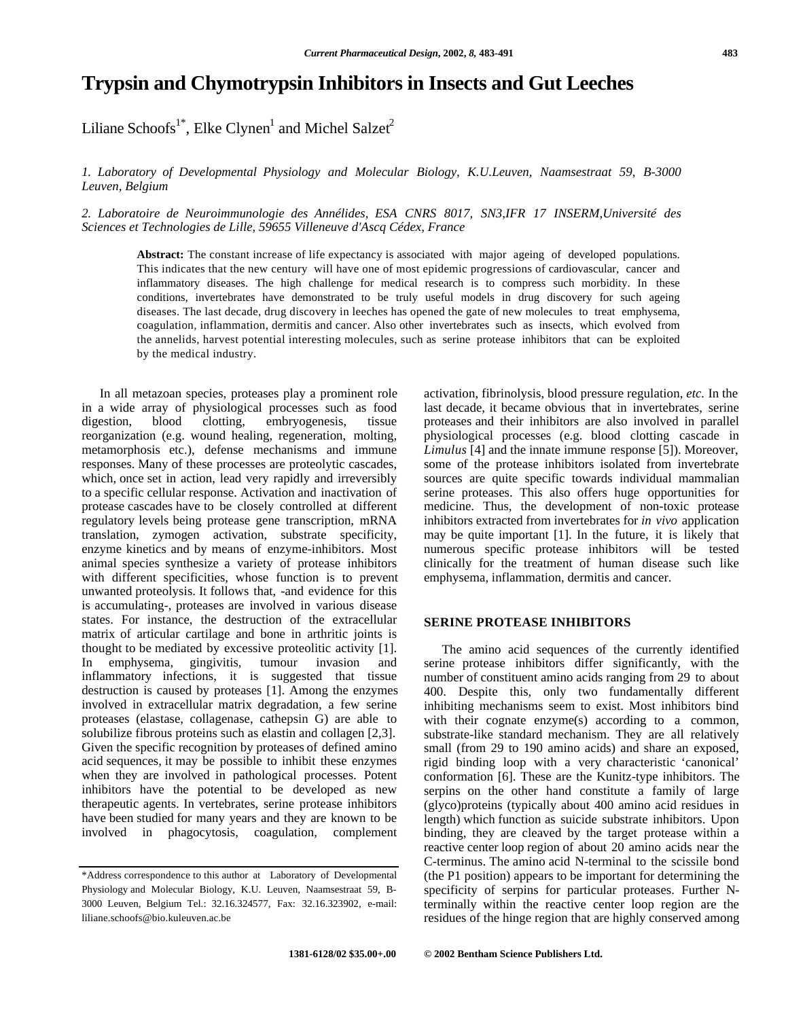# **Trypsin and Chymotrypsin Inhibitors in Insects and Gut Leeches**

Liliane Schoofs<sup>1\*</sup>, Elke Clynen<sup>1</sup> and Michel Salzet<sup>2</sup>

*1. Laboratory of Developmental Physiology and Molecular Biology, K.U.Leuven, Naamsestraat 59, B-3000 Leuven, Belgium*

*2. Laboratoire de Neuroimmunologie des Annélides, ESA CNRS 8017, SN3,IFR 17 INSERM,Université des Sciences et Technologies de Lille, 59655 Villeneuve d'Ascq Cédex, France*

**Abstract:** The constant increase of life expectancy is associated with major ageing of developed populations. This indicates that the new century will have one of most epidemic progressions of cardiovascular, cancer and inflammatory diseases. The high challenge for medical research is to compress such morbidity. In these conditions, invertebrates have demonstrated to be truly useful models in drug discovery for such ageing diseases. The last decade, drug discovery in leeches has opened the gate of new molecules to treat emphysema, coagulation, inflammation, dermitis and cancer. Also other invertebrates such as insects, which evolved from the annelids, harvest potential interesting molecules, such as serine protease inhibitors that can be exploited by the medical industry.

In all metazoan species, proteases play a prominent role in a wide array of physiological processes such as food digestion, blood clotting, embryogenesis, tissue blood clotting, embryogenesis, tissue reorganization (e.g. wound healing, regeneration, molting, metamorphosis etc.), defense mechanisms and immune responses. Many of these processes are proteolytic cascades, which, once set in action, lead very rapidly and irreversibly to a specific cellular response. Activation and inactivation of protease cascades have to be closely controlled at different regulatory levels being protease gene transcription, mRNA translation, zymogen activation, substrate specificity, enzyme kinetics and by means of enzyme-inhibitors. Most animal species synthesize a variety of protease inhibitors with different specificities, whose function is to prevent unwanted proteolysis. It follows that, -and evidence for this is accumulating-, proteases are involved in various disease states. For instance, the destruction of the extracellular matrix of articular cartilage and bone in arthritic joints is thought to be mediated by excessive proteolitic activity [1]. In emphysema, gingivitis, tumour invasion and inflammatory infections, it is suggested that tissue destruction is caused by proteases [1]. Among the enzymes involved in extracellular matrix degradation, a few serine proteases (elastase, collagenase, cathepsin G) are able to solubilize fibrous proteins such as elastin and collagen [2,3]. Given the specific recognition by proteases of defined amino acid sequences, it may be possible to inhibit these enzymes when they are involved in pathological processes. Potent inhibitors have the potential to be developed as new therapeutic agents. In vertebrates, serine protease inhibitors have been studied for many years and they are known to be involved in phagocytosis, coagulation, complement

activation, fibrinolysis, blood pressure regulation, *etc.* In the last decade, it became obvious that in invertebrates, serine proteases and their inhibitors are also involved in parallel physiological processes (e.g. blood clotting cascade in *Limulus* [4] and the innate immune response [5]). Moreover, some of the protease inhibitors isolated from invertebrate sources are quite specific towards individual mammalian serine proteases. This also offers huge opportunities for medicine. Thus, the development of non-toxic protease inhibitors extracted from invertebrates for *in vivo* application may be quite important [1]. In the future, it is likely that numerous specific protease inhibitors will be tested clinically for the treatment of human disease such like emphysema, inflammation, dermitis and cancer.

# **SERINE PROTEASE INHIBITORS**

The amino acid sequences of the currently identified serine protease inhibitors differ significantly, with the number of constituent amino acids ranging from 29 to about 400. Despite this, only two fundamentally different inhibiting mechanisms seem to exist. Most inhibitors bind with their cognate enzyme(s) according to a common, substrate-like standard mechanism. They are all relatively small (from 29 to 190 amino acids) and share an exposed, rigid binding loop with a very characteristic 'canonical' conformation [6]. These are the Kunitz-type inhibitors. The serpins on the other hand constitute a family of large (glyco)proteins (typically about 400 amino acid residues in length) which function as suicide substrate inhibitors. Upon binding, they are cleaved by the target protease within a reactive center loop region of about 20 amino acids near the C-terminus. The amino acid N-terminal to the scissile bond (the P1 position) appears to be important for determining the specificity of serpins for particular proteases. Further Nterminally within the reactive center loop region are the residues of the hinge region that are highly conserved among

<sup>\*</sup>Address correspondence to this author at Laboratory of Developmental Physiology and Molecular Biology, K.U. Leuven, Naamsestraat 59, B-3000 Leuven, Belgium Tel.: 32.16.324577, Fax: 32.16.323902, e-mail: liliane.schoofs@bio.kuleuven.ac.be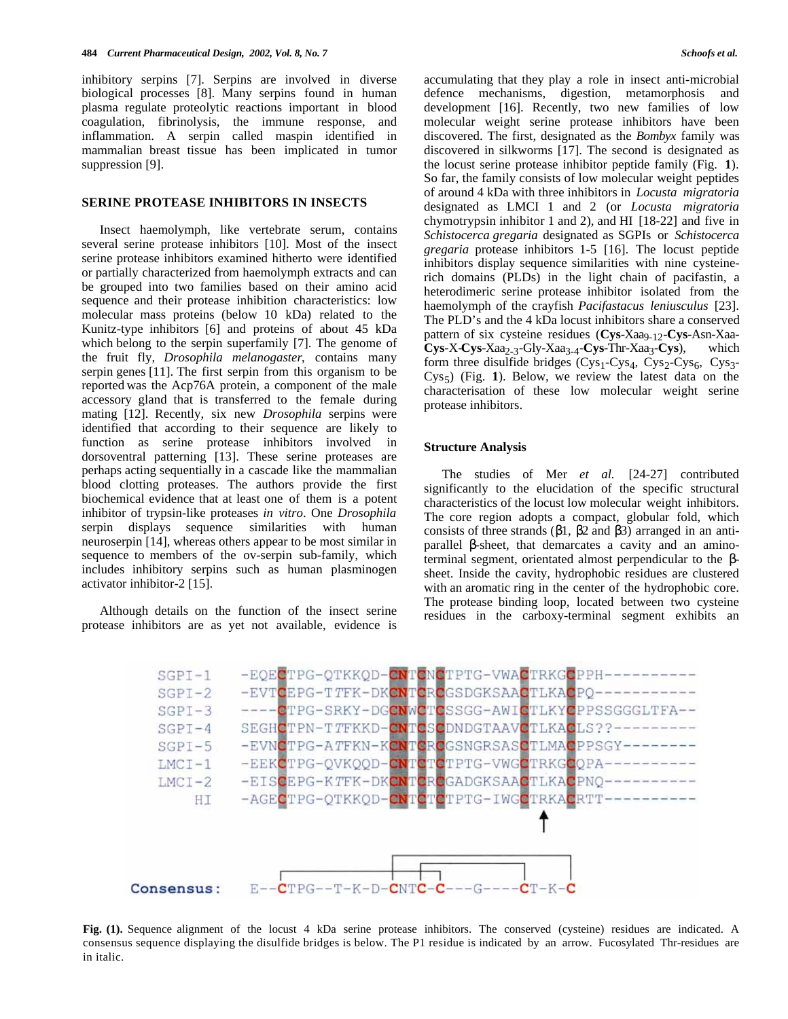inhibitory serpins [7]. Serpins are involved in diverse biological processes [8]. Many serpins found in human plasma regulate proteolytic reactions important in blood coagulation, fibrinolysis, the immune response, and inflammation. A serpin called maspin identified in mammalian breast tissue has been implicated in tumor suppression [9].

#### **SERINE PROTEASE INHIBITORS IN INSECTS**

Insect haemolymph, like vertebrate serum, contains several serine protease inhibitors [10]. Most of the insect serine protease inhibitors examined hitherto were identified or partially characterized from haemolymph extracts and can be grouped into two families based on their amino acid sequence and their protease inhibition characteristics: low molecular mass proteins (below 10 kDa) related to the Kunitz-type inhibitors [6] and proteins of about 45 kDa which belong to the serpin superfamily [7]. The genome of the fruit fly, *Drosophila melanogaster*, contains many serpin genes [11]. The first serpin from this organism to be reported was the Acp76A protein, a component of the male accessory gland that is transferred to the female during mating [12]. Recently, six new *Drosophila* serpins were identified that according to their sequence are likely to function as serine protease inhibitors involved in dorsoventral patterning [13]. These serine proteases are perhaps acting sequentially in a cascade like the mammalian blood clotting proteases. The authors provide the first biochemical evidence that at least one of them is a potent inhibitor of trypsin-like proteases *in vitro*. One *Drosophila* serpin displays sequence similarities with human neuroserpin [14], whereas others appear to be most similar in sequence to members of the ov-serpin sub-family, which includes inhibitory serpins such as human plasminogen activator inhibitor-2 [15].

protease inhibitors are as yet not available, evidence is

accumulating that they play a role in insect anti-microbial defence mechanisms, digestion, metamorphosis and development [16]. Recently, two new families of low molecular weight serine protease inhibitors have been discovered. The first, designated as the *Bombyx* family was discovered in silkworms [17]. The second is designated as the locust serine protease inhibitor peptide family (Fig. **1**). So far, the family consists of low molecular weight peptides of around 4 kDa with three inhibitors in *Locusta migratoria* designated as LMCI 1 and 2 (or *Locusta migratoria* chymotrypsin inhibitor 1 and 2), and HI [18-22] and five in *Schistocerca gregaria* designated as SGPIs or *Schistocerca gregaria* protease inhibitors 1-5 [16]. The locust peptide inhibitors display sequence similarities with nine cysteinerich domains (PLDs) in the light chain of pacifastin, a heterodimeric serine protease inhibitor isolated from the haemolymph of the crayfish *Pacifastacus leniusculus* [23]. The PLD's and the 4 kDa locust inhibitors share a conserved pattern of six cysteine residues (Cys-Xaa<sub>9-12</sub>-Cys-Asn-Xaa-Cys-X-Cys-Xaa<sub>2-3</sub>-Gly-Xaa<sub>3-4</sub>-Cys-Thr-Xaa<sub>3</sub>-Cys), which **Cys**-X-**Cys**-Xaa2-3-Gly-Xaa3-4-**Cys**-Thr-Xaa3-**Cys**), which form three disulfide bridges  $(Cys<sub>1</sub>-Cys<sub>4</sub>, Cys<sub>2</sub>-Cys<sub>6</sub>, Cys<sub>3</sub> Cys<sub>5</sub>$ ) (Fig. 1). Below, we review the latest data on the characterisation of these low molecular weight serine protease inhibitors.

#### **Structure Analysis**

The studies of Mer *et al.* [24-27] contributed significantly to the elucidation of the specific structural characteristics of the locust low molecular weight inhibitors. The core region adopts a compact, globular fold, which consists of three strands ( 1, 2 and 3) arranged in an antiparallel -sheet, that demarcates a cavity and an aminoterminal segment, orientated almost perpendicular to the sheet. Inside the cavity, hydrophobic residues are clustered with an aromatic ring in the center of the hydrophobic core. The protease binding loop, located between two cysteine Although details on the function of the insect serine residues in the carboxy-terminal segment exhibits an



**Fig. (1).** Sequence alignment of the locust 4 kDa serine protease inhibitors. The conserved (cysteine) residues are indicated. A consensus sequence displaying the disulfide bridges is below. The P1 residue is indicated by an arrow. Fucosylated Thr-residues are in italic.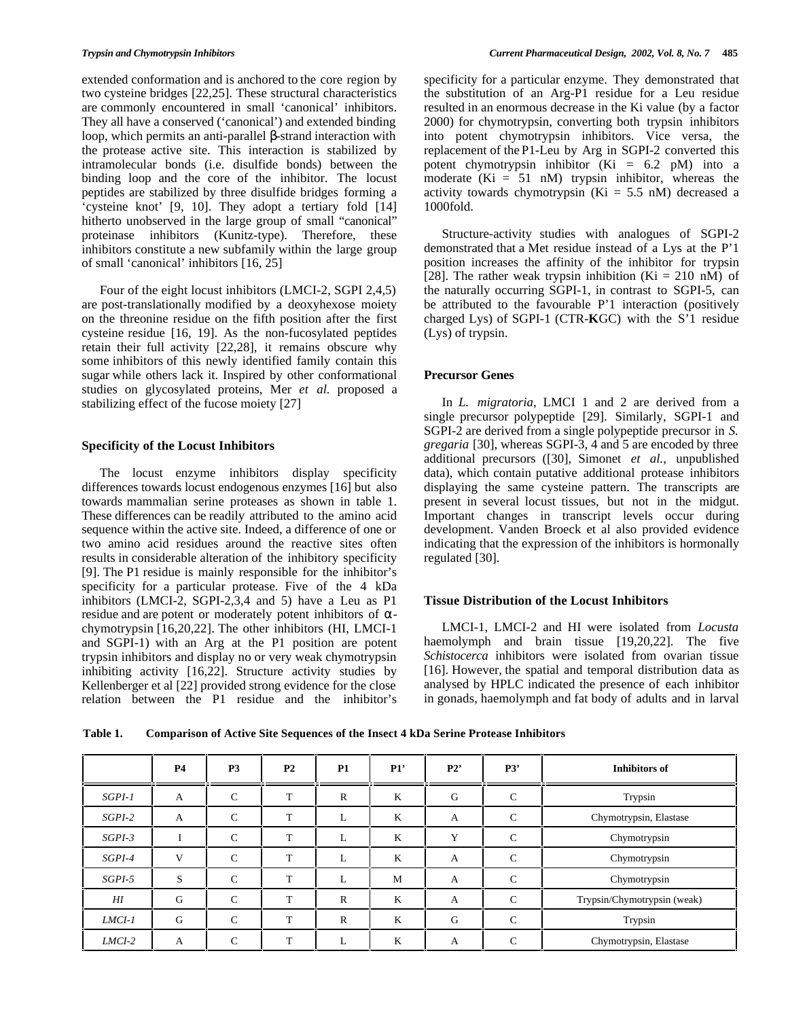extended conformation and is anchored to the core region by two cysteine bridges [22,25]. These structural characteristics are commonly encountered in small 'canonical' inhibitors. They all have a conserved ('canonical') and extended binding loop, which permits an anti-parallel -strand interaction with the protease active site. This interaction is stabilized by intramolecular bonds (i.e. disulfide bonds) between the binding loop and the core of the inhibitor. The locust peptides are stabilized by three disulfide bridges forming a 'cysteine knot' [9, 10]. They adopt a tertiary fold [14] hitherto unobserved in the large group of small "canonical" proteinase inhibitors (Kunitz-type). Therefore, these inhibitors constitute a new subfamily within the large group of small 'canonical' inhibitors [16, 25]

Four of the eight locust inhibitors (LMCI-2, SGPI 2,4,5) are post-translationally modified by a deoxyhexose moiety on the threonine residue on the fifth position after the first cysteine residue [16, 19]. As the non-fucosylated peptides retain their full activity [22,28], it remains obscure why some inhibitors of this newly identified family contain this sugar while others lack it. Inspired by other conformational studies on glycosylated proteins, Mer *et al.* proposed a stabilizing effect of the fucose moiety [27]

## **Specificity of the Locust Inhibitors**

The locust enzyme inhibitors display specificity differences towards locust endogenous enzymes [16] but also towards mammalian serine proteases as shown in table 1. These differences can be readily attributed to the amino acid sequence within the active site. Indeed, a difference of one or two amino acid residues around the reactive sites often results in considerable alteration of the inhibitory specificity [9]. The P1 residue is mainly responsible for the inhibitor's specificity for a particular protease. Five of the 4 kDa inhibitors (LMCI-2, SGPI-2,3,4 and 5) have a Leu as P1 residue and are potent or moderately potent inhibitors of chymotrypsin [16,20,22]. The other inhibitors (HI, LMCI-1 and SGPI-1) with an Arg at the P1 position are potent trypsin inhibitors and display no or very weak chymotrypsin inhibiting activity [16,22]. Structure activity studies by Kellenberger et al [22] provided strong evidence for the close relation between the P1 residue and the inhibitor's specificity for a particular enzyme. They demonstrated that the substitution of an Arg-P1 residue for a Leu residue resulted in an enormous decrease in the Ki value (by a factor 2000) for chymotrypsin, converting both trypsin inhibitors into potent chymotrypsin inhibitors. Vice versa, the replacement of the P1-Leu by Arg in SGPI-2 converted this potent chymotrypsin inhibitor (Ki = 6.2 pM) into a moderate  $(Ki = 51 \text{ nM})$  trypsin inhibitor, whereas the activity towards chymotrypsin  $(Ki = 5.5 \text{ nM})$  decreased a 1000fold.

Structure-activity studies with analogues of SGPI-2 demonstrated that a Met residue instead of a Lys at the P'1 position increases the affinity of the inhibitor for trypsin [28]. The rather weak trypsin inhibition (Ki = 210 nM) of the naturally occurring SGPI-1, in contrast to SGPI-5, can be attributed to the favourable P'1 interaction (positively charged Lys) of SGPI-1 (CTR-**K**GC) with the S'1 residue (Lys) of trypsin.

## **Precursor Genes**

In *L. migratoria*, LMCI 1 and 2 are derived from a single precursor polypeptide [29]. Similarly, SGPI-1 and SGPI-2 are derived from a single polypeptide precursor in *S. gregaria* [30], whereas SGPI-3, 4 and 5 are encoded by three additional precursors ([30], Simonet *et al.*, unpublished data), which contain putative additional protease inhibitors displaying the same cysteine pattern. The transcripts are present in several locust tissues, but not in the midgut. Important changes in transcript levels occur during development. Vanden Broeck et al also provided evidence indicating that the expression of the inhibitors is hormonally regulated [30].

#### **Tissue Distribution of the Locust Inhibitors**

LMCI-1, LMCI-2 and HI were isolated from *Locusta* haemolymph and brain tissue [19,20,22]. The five *Schistocerca* inhibitors were isolated from ovarian tissue [16]. However, the spatial and temporal distribution data as analysed by HPLC indicated the presence of each inhibitor in gonads, haemolymph and fat body of adults and in larval

|          | <b>P4</b> | P3 | P <sub>2</sub> | <b>P1</b>    | P1'           | P2' | P3' | <b>Inhibitors</b> of |
|----------|-----------|----|----------------|--------------|---------------|-----|-----|----------------------|
| SGPI-1   | $\Gamma$  |    | <b>TT</b>      | $\mathbf{r}$ | <b>T</b><br>v |     |     | Trypsin              |
| $SGPI-2$ |           |    | m              |              | <b>T</b>      |     |     | Chymotrypsin, Ela    |

**Table 1. Comparison of Active Site Sequences of the Insect 4 kDa Serine Protease Inhibitors**

| $SGPI-1$ | A            | ⌒          | T            | R            | K           | G            | C             | Trypsin                     |
|----------|--------------|------------|--------------|--------------|-------------|--------------|---------------|-----------------------------|
| $SGPI-2$ | A            | C          | $\mathbf{T}$ | .,           | K           | A            | $\mathcal{C}$ | Chymotrypsin, Elastase      |
| $SGPI-3$ |              | C          | m            |              | K           | $\mathbf{v}$ | C             | Chymotrypsin                |
| $SGPI-4$ | $\mathbf{V}$ | C          | $\mathbf{T}$ | ь.           | K           | A            | $\mathcal{C}$ | Chymotrypsin                |
| $SGPI-5$ | S            | $\sim$     | m            | ι.           | M           | A            | $\mathcal{C}$ | Chymotrypsin                |
| $H\!I$   | G            | $\Gamma$   | T            | $\mathbb{R}$ | K           | A            | C             | Trypsin/Chymotrypsin (weak) |
| $LMCI-1$ | G            | C          | m            | $\mathbb{R}$ | $\mathbf K$ | G            | $\mathcal{C}$ | Trypsin                     |
| $LMCI-2$ | A            | $\sqrt{ }$ | m            |              | K           | А            | $\mathsf{C}$  | Chymotrypsin, Elastase      |
|          |              |            |              |              |             |              |               |                             |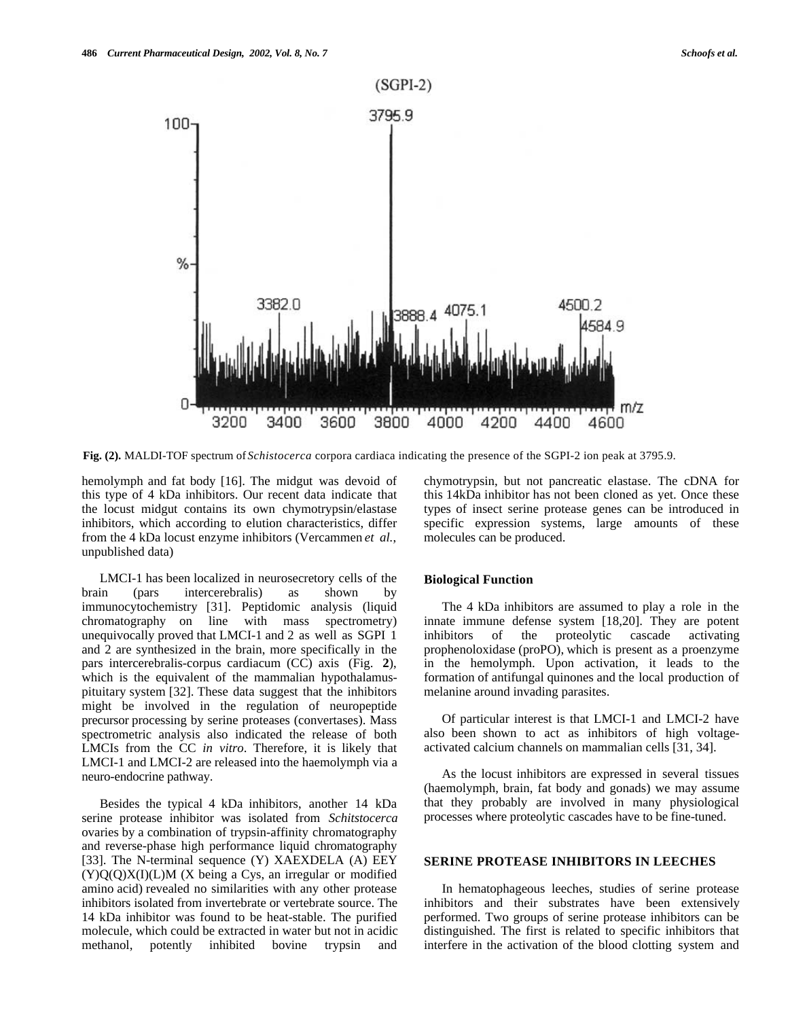

**Fig. (2).** MALDI-TOF spectrum of *Schistocerca* corpora cardiaca indicating the presence of the SGPI-2 ion peak at 3795.9.

hemolymph and fat body [16]. The midgut was devoid of this type of 4 kDa inhibitors. Our recent data indicate that the locust midgut contains its own chymotrypsin/elastase inhibitors, which according to elution characteristics, differ from the 4 kDa locust enzyme inhibitors (Vercammen *et al.*, unpublished data)

LMCI-1 has been localized in neurosecretory cells of the **Biological Function** (pars intercerebralis) as immunocytochemistry [31]. Peptidomic analysis (liquid chromatography on line with mass spectrometry) unequivocally proved that LMCI-1 and 2 as well as SGPI 1 and 2 are synthesized in the brain, more specifically in the pars intercerebralis-corpus cardiacum (CC) axis (Fig. **2**), which is the equivalent of the mammalian hypothalamuspituitary system [32]. These data suggest that the inhibitors might be involved in the regulation of neuropeptide precursor processing by serine proteases (convertases). Mass spectrometric analysis also indicated the release of both LMCIs from the CC *in vitro*. Therefore, it is likely that LMCI-1 and LMCI-2 are released into the haemolymph via a neuro-endocrine pathway.

Besides the typical 4 kDa inhibitors, another 14 kDa serine protease inhibitor was isolated from *Schitstocerca* ovaries by a combination of trypsin-affinity chromatography and reverse-phase high performance liquid chromatography [33]. The N-terminal sequence (Y) XAEXDELA (A) EEY  $(Y)Q(Q)X(I)(L)M$  (X being a Cys, an irregular or modified amino acid) revealed no similarities with any other protease inhibitors isolated from invertebrate or vertebrate source. The 14 kDa inhibitor was found to be heat-stable. The purified molecule, which could be extracted in water but not in acidic methanol, potently inhibited bovine trypsin and chymotrypsin, but not pancreatic elastase. The cDNA for this 14kDa inhibitor has not been cloned as yet. Once these types of insect serine protease genes can be introduced in specific expression systems, large amounts of these molecules can be produced.

The 4 kDa inhibitors are assumed to play a role in the innate immune defense system [18,20]. They are potent inhibitors of the proteolytic cascade activating prophenoloxidase (proPO), which is present as a proenzyme in the hemolymph. Upon activation, it leads to the formation of antifungal quinones and the local production of melanine around invading parasites.

Of particular interest is that LMCI-1 and LMCI-2 have also been shown to act as inhibitors of high voltageactivated calcium channels on mammalian cells [31, 34].

As the locust inhibitors are expressed in several tissues (haemolymph, brain, fat body and gonads) we may assume that they probably are involved in many physiological processes where proteolytic cascades have to be fine-tuned.

### **SERINE PROTEASE INHIBITORS IN LEECHES**

In hematophageous leeches, studies of serine protease inhibitors and their substrates have been extensively performed. Two groups of serine protease inhibitors can be distinguished. The first is related to specific inhibitors that interfere in the activation of the blood clotting system and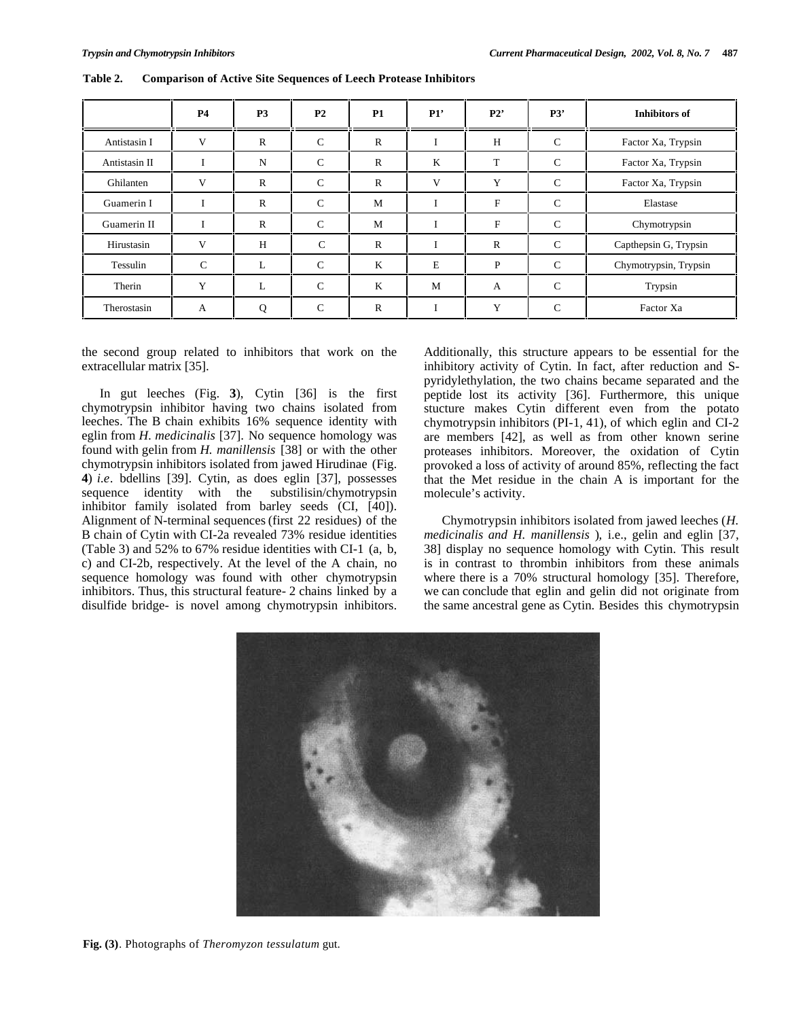|               | <b>P4</b>    | <b>P3</b>         | P <sub>2</sub> | <b>P1</b>    | P1' | P2           | P3'           | <b>Inhibitors of</b>  |
|---------------|--------------|-------------------|----------------|--------------|-----|--------------|---------------|-----------------------|
| Antistasin I  | V            | $\mathbb{R}$      | $\mathcal{C}$  | $\mathbb{R}$ |     | H            | $\mathsf{C}$  | Factor Xa, Trypsin    |
| Antistasin II |              | N                 | $\mathbf C$    | $\mathbb{R}$ | K   | T            | $\mathsf{C}$  | Factor Xa, Trypsin    |
| Ghilanten     | $\mathbf{V}$ | $\mathbb{R}$      | $\mathcal{C}$  | R            | V   | Y            | $\mathsf{C}$  | Factor Xa, Trypsin    |
| Guamerin I    |              | $\mathbb{R}$      | $\mathcal{C}$  | M            |     | $\mathbf F$  | $\mathsf{C}$  | Elastase              |
| Guamerin II   |              | $\mathbb{R}$      | $\mathcal{C}$  | M            |     | F            | $\mathcal{C}$ | Chymotrypsin          |
| Hirustasin    | V            | H                 | $\mathsf{C}$   | $\mathbb{R}$ |     | $\mathbb{R}$ | $\mathsf{C}$  | Capthepsin G, Trypsin |
| Tessulin      | $\mathsf{C}$ | $\mathbf{r}$<br>L | $\mathcal{C}$  | K            | E   | P            | $\mathsf{C}$  | Chymotrypsin, Trypsin |
| Therin        | Y            | $\mathbf{r}$<br>L | $\mathcal{C}$  | K            | M   | $\mathbf{A}$ | $\mathsf{C}$  | Trypsin               |
| Therostasin   | A            | Q                 | $\mathsf{C}$   | $\mathbb{R}$ |     | Y            | $\mathsf{C}$  | Factor Xa             |

**Table 2. Comparison of Active Site Sequences of Leech Protease Inhibitors**

the second group related to inhibitors that work on the extracellular matrix [35].

In gut leeches (Fig. **3**), Cytin [36] is the first chymotrypsin inhibitor having two chains isolated from leeches. The B chain exhibits 16% sequence identity with eglin from *H. medicinalis* [37]. No sequence homology was found with gelin from *H. manillensis* [38] or with the other chymotrypsin inhibitors isolated from jawed Hirudinae (Fig. **4**) *i.e*. bdellins [39]. Cytin, as does eglin [37], possesses sequence identity with the substilisin/chymotrypsin inhibitor family isolated from barley seeds (CI, [40]). Alignment of N-terminal sequences (first 22 residues) of the B chain of Cytin with CI-2a revealed 73% residue identities (Table 3) and 52% to 67% residue identities with CI-1 (a, b, c) and CI-2b, respectively. At the level of the A chain, no sequence homology was found with other chymotrypsin inhibitors. Thus, this structural feature- 2 chains linked by a disulfide bridge- is novel among chymotrypsin inhibitors.

Additionally, this structure appears to be essential for the inhibitory activity of Cytin. In fact, after reduction and Spyridylethylation, the two chains became separated and the peptide lost its activity [36]. Furthermore, this unique stucture makes Cytin different even from the potato chymotrypsin inhibitors (PI-1, 41), of which eglin and CI-2 are members [42], as well as from other known serine proteases inhibitors. Moreover, the oxidation of Cytin provoked a loss of activity of around 85%, reflecting the fact that the Met residue in the chain A is important for the molecule's activity.

Chymotrypsin inhibitors isolated from jawed leeches (*H. medicinalis and H. manillensis* )*,* i.e., gelin and eglin [37, 38] display no sequence homology with Cytin. This result is in contrast to thrombin inhibitors from these animals where there is a 70% structural homology [35]. Therefore, we can conclude that eglin and gelin did not originate from the same ancestral gene as Cytin. Besides this chymotrypsin

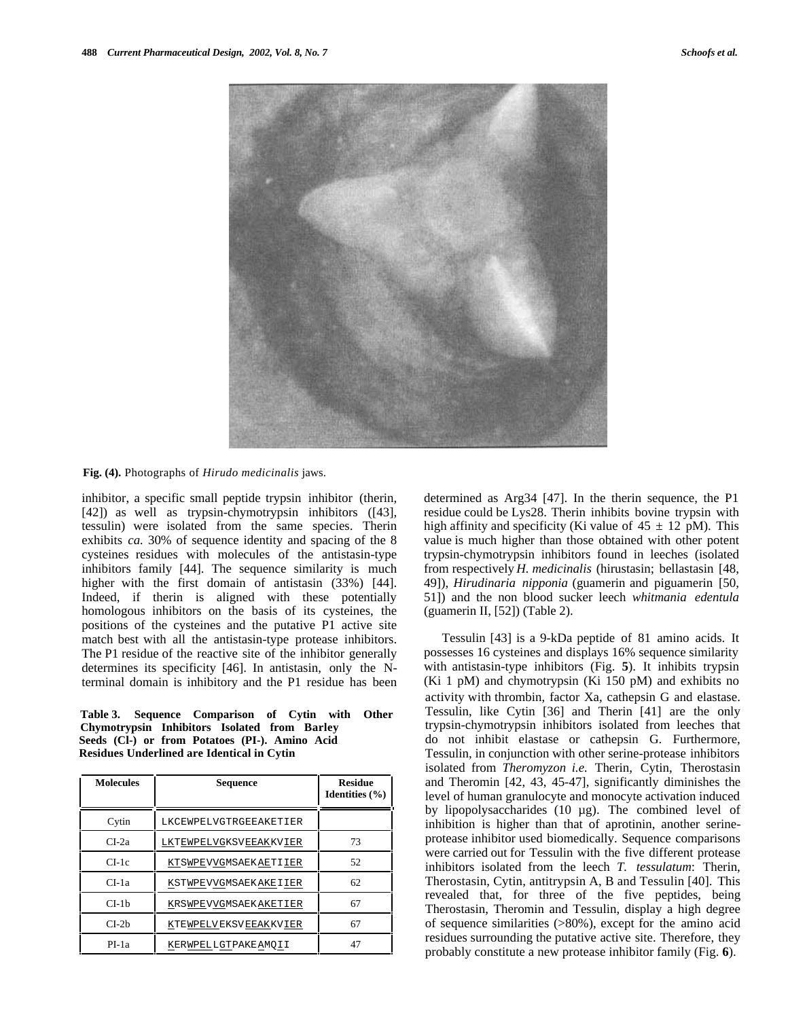

**Fig. (4).** Photographs of *Hirudo medicinalis* jaws.

inhibitor, a specific small peptide trypsin inhibitor (therin, [42]) as well as trypsin-chymotrypsin inhibitors ([43], tessulin) were isolated from the same species. Therin exhibits *ca.* 30% of sequence identity and spacing of the 8 cysteines residues with molecules of the antistasin-type inhibitors family [44]. The sequence similarity is much higher with the first domain of antistasin (33%) [44]. Indeed, if therin is aligned with these potentially homologous inhibitors on the basis of its cysteines, the positions of the cysteines and the putative P1 active site match best with all the antistasin-type protease inhibitors. The P1 residue of the reactive site of the inhibitor generally determines its specificity [46]. In antistasin, only the Nterminal domain is inhibitory and the P1 residue has been

**Table 3. Sequence Comparison of Cytin with Other Chymotrypsin Inhibitors Isolated from Barley Seeds (Cl-) or from Potatoes (PI-). Amino Acid Residues Underlined are Identical in Cytin**

| <b>Molecules</b> | <b>Sequence</b>          | <b>Residue</b><br>Identities $(\% )$ |
|------------------|--------------------------|--------------------------------------|
| Cytin            | LKCEWPELVGTRGEEAKETIER   |                                      |
| $CI-2a$          | LKTEWPELVGKSVEEAKKVIER   | 73                                   |
| $CI-1c$          | KTSWPEVVGMSAEK AETIIER   | 52                                   |
| $CI-1a$          | KSTWPEVVGMSAEK AKE I IER | 62                                   |
| $CI-1b$          | KRSWPEVVGMSAEK AKETIER   | 67                                   |
| $CI-2b$          | KTEWPELVEKSVEEAKKVIER    | 67                                   |
| $PI-1a$          | KERWPELLGTPAKEAMOII      | 47                                   |

determined as Arg34 [47]. In the therin sequence, the P1 residue could be Lys28. Therin inhibits bovine trypsin with high affinity and specificity (Ki value of  $45 \pm 12$  pM). This value is much higher than those obtained with other potent trypsin-chymotrypsin inhibitors found in leeches (isolated from respectively *H. medicinalis* (hirustasin; bellastasin [48, 49]), *Hirudinaria nipponia* (guamerin and piguamerin [50, 51]) and the non blood sucker leech *whitmania edentula* (guamerin II, [52]) (Table 2).

Tessulin [43] is a 9-kDa peptide of 81 amino acids. It possesses 16 cysteines and displays 16% sequence similarity with antistasin-type inhibitors (Fig. **5**). It inhibits trypsin (Ki 1 pM) and chymotrypsin (Ki 150 pM) and exhibits no activity with thrombin, factor Xa, cathepsin G and elastase. Tessulin, like Cytin [36] and Therin [41] are the only trypsin-chymotrypsin inhibitors isolated from leeches that do not inhibit elastase or cathepsin G. Furthermore, Tessulin, in conjunction with other serine-protease inhibitors isolated from *Theromyzon i.e.* Therin, Cytin, Therostasin and Theromin [42, 43, 45-47], significantly diminishes the level of human granulocyte and monocyte activation induced by lipopolysaccharides (10 µg). The combined level of inhibition is higher than that of aprotinin, another serineprotease inhibitor used biomedically. Sequence comparisons were carried out for Tessulin with the five different protease inhibitors isolated from the leech *T. tessulatum*: Therin, Therostasin, Cytin, antitrypsin A, B and Tessulin [40]. This revealed that, for three of the five peptides, being Therostasin, Theromin and Tessulin, display a high degree of sequence similarities (>80%), except for the amino acid residues surrounding the putative active site. Therefore, they probably constitute a new protease inhibitor family (Fig. **6**).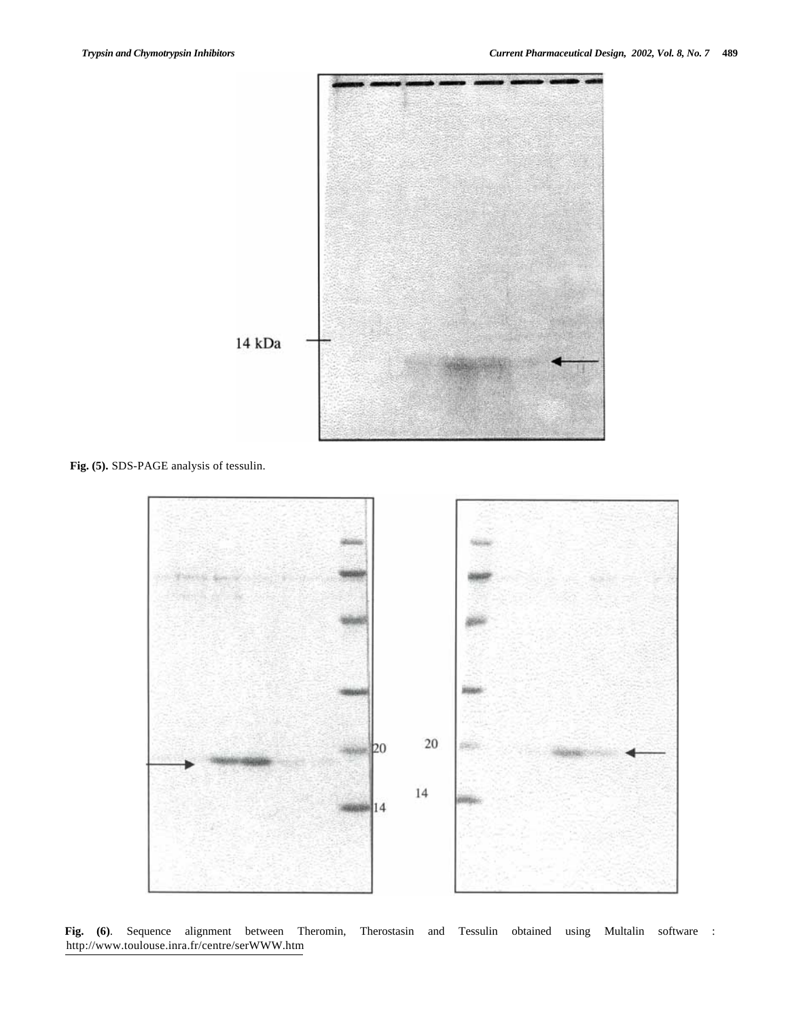

**Fig. (5).** SDS-PAGE analysis of tessulin.



**Fig. (6)**. Sequence alignment between Theromin, Therostasin and Tessulin obtained using Multalin software : http://www.toulouse.inra.fr/centre/serWWW.htm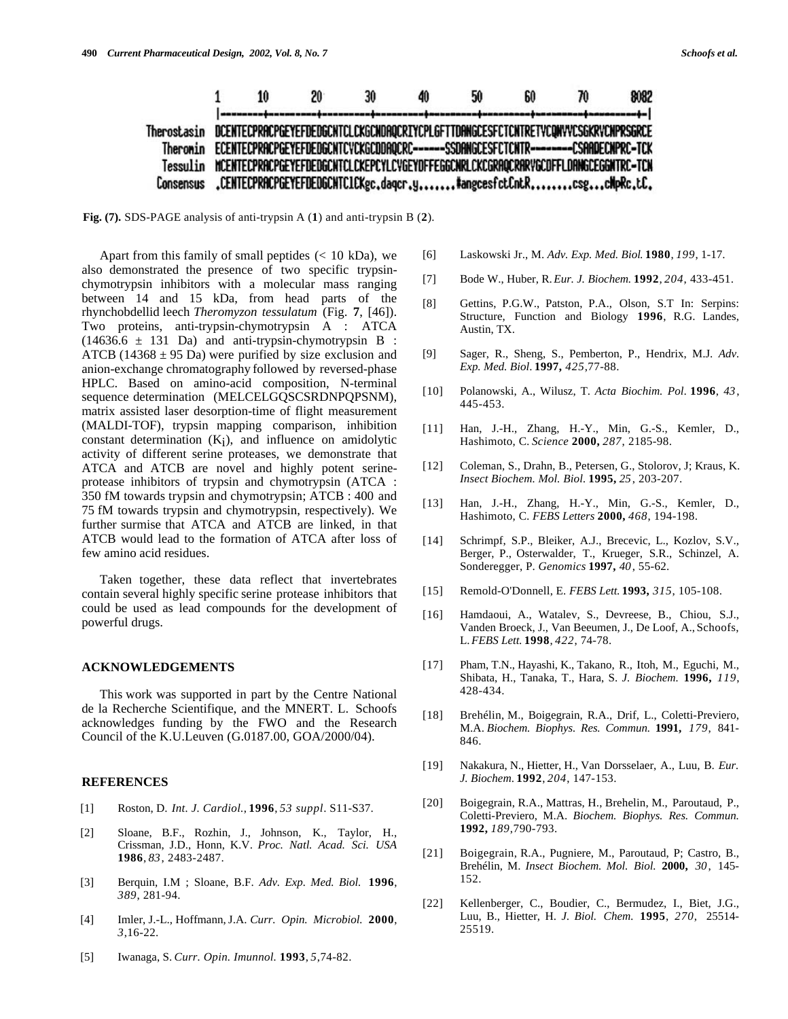

**Fig. (7).** SDS-PAGE analysis of anti-trypsin A (**1**) and anti-trypsin B (**2**).

Apart from this family of small peptides  $(< 10$  kDa), we also demonstrated the presence of two specific trypsinchymotrypsin inhibitors with a molecular mass ranging between 14 and 15 kDa, from head parts of the rhynchobdellid leech *Theromyzon tessulatum* (Fig. **7**, [46]). Two proteins, anti-trypsin-chymotrypsin A : ATCA  $(14636.6 \pm 131)$  Da) and anti-trypsin-chymotrypsin B : ATCB (14368  $\pm$  95 Da) were purified by size exclusion and anion-exchange chromatography followed by reversed-phase HPLC. Based on amino-acid composition, N-terminal sequence determination (MELCELGQSCSRDNPQPSNM), matrix assisted laser desorption-time of flight measurement (MALDI-TOF), trypsin mapping comparison, inhibition constant determination  $(K_i)$ , and influence on amidolytic activity of different serine proteases, we demonstrate that ATCA and ATCB are novel and highly potent serineprotease inhibitors of trypsin and chymotrypsin (ATCA : 350 fM towards trypsin and chymotrypsin; ATCB : 400 and 75 fM towards trypsin and chymotrypsin, respectively). We further surmise that ATCA and ATCB are linked, in that ATCB would lead to the formation of ATCA after loss of few amino acid residues.

Taken together, these data reflect that invertebrates contain several highly specific serine protease inhibitors that could be used as lead compounds for the development of powerful drugs.

This work was supported in part by the Centre National 428-434. de la Recherche Scientifique, and the MNERT. L. Schoofs acknowledges funding by the FWO and the Research Council of the K.U.Leuven (G.0187.00, GOA/2000/04).

### **REFERENCES**

- [1] Roston, D. *Int. J. Cardiol.*, **1996**, *53 suppl*. S11-S37.
- [2] Sloane, B.F., Rozhin, J., Johnson, K., Taylor, H., Crissman, J.D., Honn, K.V. *Proc. Natl. Acad. Sci. USA* **<sup>1986</sup>**, *83*, 2483-2487. [21] Boigegrain, R.A., Pugniere, M., Paroutaud, P; Castro, B.,
- 152. [3] Berquin, I.M ; Sloane, B.F. *Adv. Exp. Med. Biol.* **1996**,
- 25519. [4] Imler, J.-L., Hoffmann, J.A. *Curr. Opin. Microbiol.* **2000**, *3*,16-22.
- [5] Iwanaga, S. *Curr. Opin. Imunnol.* **1993**, *5*,74-82.
- [6] Laskowski Jr., M. *Adv. Exp. Med. Biol*. **1980**, *199*, 1-17.
- [7] Bode W., Huber, R. *Eur. J. Biochem.* **1992**, *204*, 433-451.
- [8] Gettins, P.G.W., Patston, P.A., Olson, S.T In: Serpins: Structure, Function and Biology **1996**, R.G. Landes, Austin, TX.
- [9] Sager, R., Sheng, S., Pemberton, P., Hendrix, M.J. *Adv. Exp. Med. Biol*. **1997,** *425*,77-88.
- [10] Polanowski, A., Wilusz, T. *Acta Biochim. Pol*. **1996**, *43*, 445-453.
- [11] Han, J.-H., Zhang, H.-Y., Min, G.-S., Kemler, D., Hashimoto, C*. Science* **2000,** *287*, 2185-98.
- [12] Coleman, S., Drahn, B., Petersen, G., Stolorov, J; Kraus, K. *Insect Biochem. Mol. Biol.* **1995,** *25*, 203-207.
- [13] Han, J.-H., Zhang, H.-Y., Min, G.-S., Kemler, D., Hashimoto, C*. FEBS Letters* **2000,** *468*, 194-198.
- [14] Schrimpf, S.P., Bleiker, A.J., Brecevic, L., Kozlov, S.V., Berger, P., Osterwalder, T., Krueger, S.R., Schinzel, A. Sonderegger, P. *Genomics* **1997,** *40*, 55-62.
- [15] Remold-O'Donnell, E. *FEBS Lett*. **1993,** *315*, 105-108.
- [16] Hamdaoui, A., Watalev, S., Devreese, B., Chiou, S.J., Vanden Broeck, J., Van Beeumen, J., De Loof, A., Schoofs, L. *FEBS Lett*. **1998**, *422*, 74-78.
- **ACKNOWLEDGEMENTS** [17] Pham, T.N., Hayashi, K., Takano, R., Itoh, M., Eguchi, M., Shibata, H., Tanaka, T., Hara, S. *J. Biochem.* **1996,** *119*,
	- [18] Brehélin, M., Boigegrain, R.A., Drif, L., Coletti-Previero, M.A. *Biochem. Biophys. Res. Commun.* **1991,** *179*, 841- 846.
	- [19] Nakakura, N., Hietter, H., Van Dorsselaer, A., Luu, B. *Eur. J. Biochem*. **1992**, *204*, 147-153.
	- [20] Boigegrain, R.A., Mattras, H., Brehelin, M., Paroutaud, P., Coletti-Previero, M.A. *Biochem. Biophys. Res. Commun.* **1992,** *189*,790-793.
	- Brehélin, M. *Insect Biochem. Mol. Biol.* **2000,** *30*, 145-
	- *<sup>389</sup>*, 281-94. [22] Kellenberger, C., Boudier, C., Bermudez, I., Biet, J.G., Luu, B., Hietter, H. *J. Biol. Chem.* **1995**, *270*, 25514-